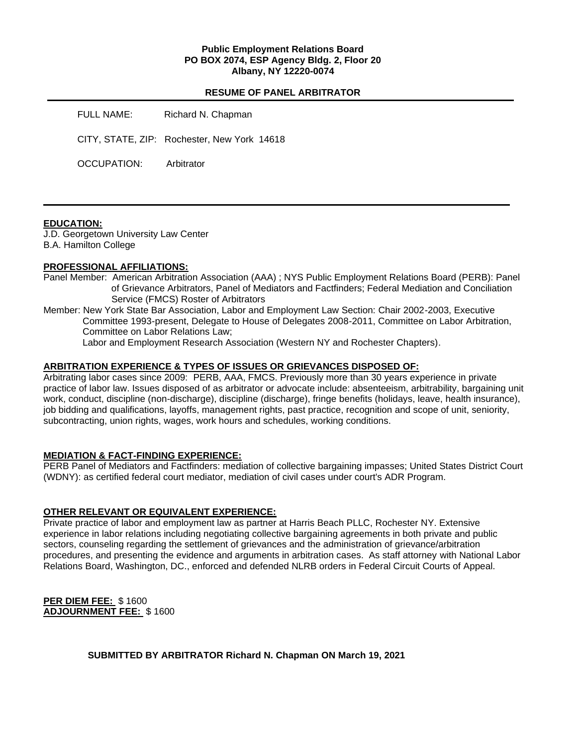### **Public Employment Relations Board PO BOX 2074, ESP Agency Bldg. 2, Floor 20 Albany, NY 12220-0074**

### **RESUME OF PANEL ARBITRATOR**

FULL NAME: Richard N. Chapman CITY, STATE, ZIP: Rochester, New York 14618 OCCUPATION: Arbitrator

#### **EDUCATION:**

J.D. Georgetown University Law Center B.A. Hamilton College

#### **PROFESSIONAL AFFILIATIONS:**

Panel Member: American Arbitration Association (AAA) ; NYS Public Employment Relations Board (PERB): Panel of Grievance Arbitrators, Panel of Mediators and Factfinders; Federal Mediation and Conciliation Service (FMCS) Roster of Arbitrators

Member: New York State Bar Association, Labor and Employment Law Section: Chair 2002-2003, Executive Committee 1993-present, Delegate to House of Delegates 2008-2011, Committee on Labor Arbitration, Committee on Labor Relations Law;

Labor and Employment Research Association (Western NY and Rochester Chapters).

#### **ARBITRATION EXPERIENCE & TYPES OF ISSUES OR GRIEVANCES DISPOSED OF:**

Arbitrating labor cases since 2009: PERB, AAA, FMCS. Previously more than 30 years experience in private practice of labor law. Issues disposed of as arbitrator or advocate include: absenteeism, arbitrability, bargaining unit work, conduct, discipline (non-discharge), discipline (discharge), fringe benefits (holidays, leave, health insurance), job bidding and qualifications, layoffs, management rights, past practice, recognition and scope of unit, seniority, subcontracting, union rights, wages, work hours and schedules, working conditions.

### **MEDIATION & FACT-FINDING EXPERIENCE:**

PERB Panel of Mediators and Factfinders: mediation of collective bargaining impasses; United States District Court (WDNY): as certified federal court mediator, mediation of civil cases under court's ADR Program.

### **OTHER RELEVANT OR EQUIVALENT EXPERIENCE:**

Private practice of labor and employment law as partner at Harris Beach PLLC, Rochester NY. Extensive experience in labor relations including negotiating collective bargaining agreements in both private and public sectors, counseling regarding the settlement of grievances and the administration of grievance/arbitration procedures, and presenting the evidence and arguments in arbitration cases. As staff attorney with National Labor Relations Board, Washington, DC., enforced and defended NLRB orders in Federal Circuit Courts of Appeal.

**PER DIEM FEE:** \$ 1600 **ADJOURNMENT FEE:** \$ 1600

**SUBMITTED BY ARBITRATOR Richard N. Chapman ON March 19, 2021**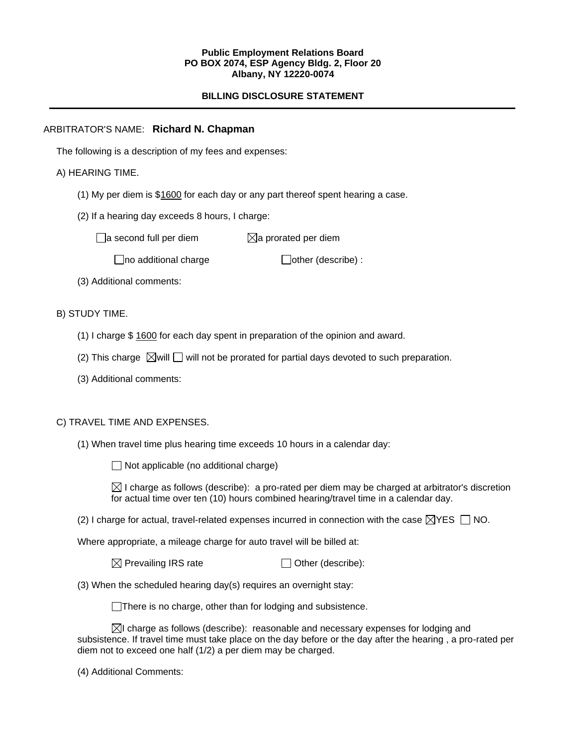#### **Public Employment Relations Board PO BOX 2074, ESP Agency Bldg. 2, Floor 20 Albany, NY 12220-0074**

# **BILLING DISCLOSURE STATEMENT**

## ARBITRATOR'S NAME: **Richard N. Chapman**

The following is a description of my fees and expenses:

# A) HEARING TIME.

- (1) My per diem is \$1600 for each day or any part thereof spent hearing a case.
- (2) If a hearing day exceeds 8 hours, I charge:

 $\Box$ a second full per diem  $\boxtimes$ a prorated per diem

 $\Box$ no additional charge  $\Box$ other (describe) :

(3) Additional comments:

B) STUDY TIME.

- (1) I charge \$ 1600 for each day spent in preparation of the opinion and award.
- (2) This charge  $\boxtimes$  will  $\Box$  will not be prorated for partial days devoted to such preparation.
- (3) Additional comments:

### C) TRAVEL TIME AND EXPENSES.

(1) When travel time plus hearing time exceeds 10 hours in a calendar day:

 $\Box$  Not applicable (no additional charge)

 $\boxtimes$  I charge as follows (describe): a pro-rated per diem may be charged at arbitrator's discretion for actual time over ten (10) hours combined hearing/travel time in a calendar day.

(2) I charge for actual, travel-related expenses incurred in connection with the case  $\boxtimes$ YES  $\Box$  NO.

Where appropriate, a mileage charge for auto travel will be billed at:

 $\boxtimes$  Prevailing IRS rate  $\Box$  Other (describe):

(3) When the scheduled hearing day(s) requires an overnight stay:

There is no charge, other than for lodging and subsistence.

 $\boxtimes$ I charge as follows (describe): reasonable and necessary expenses for lodging and subsistence. If travel time must take place on the day before or the day after the hearing , a pro-rated per diem not to exceed one half (1/2) a per diem may be charged.

(4) Additional Comments: